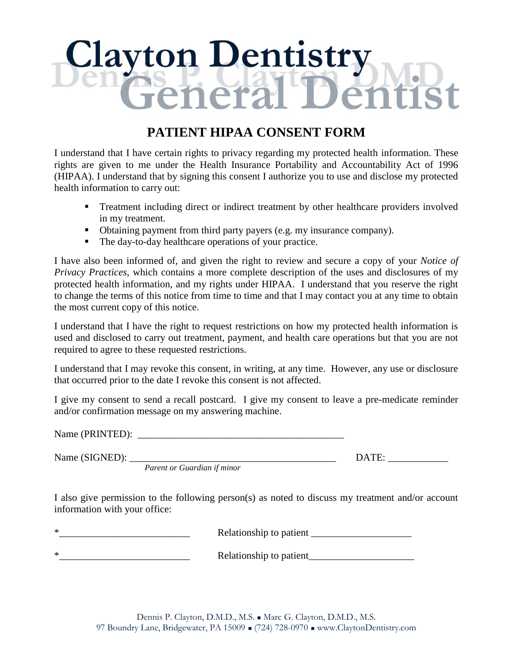# **Clayton Dentistry**

## **PATIENT HIPAA CONSENT FORM**

I understand that I have certain rights to privacy regarding my protected health information. These rights are given to me under the Health Insurance Portability and Accountability Act of 1996 (HIPAA). I understand that by signing this consent I authorize you to use and disclose my protected health information to carry out:

- **Treatment including direct or indirect treatment by other healthcare providers involved** in my treatment.
- Obtaining payment from third party payers (e.g. my insurance company).
- The day-to-day healthcare operations of your practice.

I have also been informed of, and given the right to review and secure a copy of your *Notice of Privacy Practices,* which contains a more complete description of the uses and disclosures of my protected health information, and my rights under HIPAA. I understand that you reserve the right to change the terms of this notice from time to time and that I may contact you at any time to obtain the most current copy of this notice.

I understand that I have the right to request restrictions on how my protected health information is used and disclosed to carry out treatment, payment, and health care operations but that you are not required to agree to these requested restrictions.

I understand that I may revoke this consent, in writing, at any time. However, any use or disclosure that occurred prior to the date I revoke this consent is not affected.

I give my consent to send a recall postcard. I give my consent to leave a pre-medicate reminder and/or confirmation message on my answering machine.

Name (PRINTED):

*Parent or Guardian if minor*

Name (SIGNED): \_\_\_\_\_\_\_\_\_\_\_\_\_\_\_\_\_\_\_\_\_\_\_\_\_\_\_\_\_\_\_\_\_\_\_\_\_\_\_\_\_ DATE: \_\_\_\_\_\_\_\_\_\_\_\_

I also give permission to the following person(s) as noted to discuss my treatment and/or account information with your office:

 $\blacksquare$  Relationship to patient  $\blacksquare$ \*\_\_\_\_\_\_\_\_\_\_\_\_\_\_\_\_\_\_\_\_\_\_\_\_\_\_ Relationship to patient\_\_\_\_\_\_\_\_\_\_\_\_\_\_\_\_\_\_\_\_\_